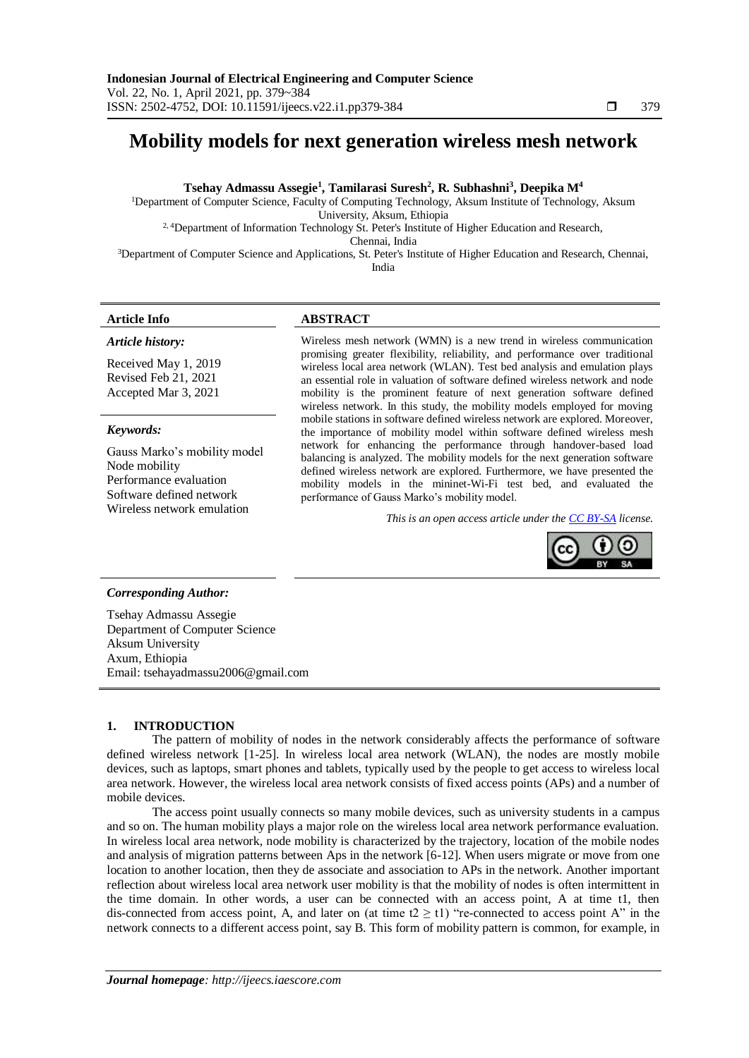# **Mobility models for next generation wireless mesh network**

# **Tsehay Admassu Assegie<sup>1</sup> , Tamilarasi Suresh<sup>2</sup> , R. Subhashni<sup>3</sup> , Deepika M<sup>4</sup>**

<sup>1</sup>Department of Computer Science, Faculty of Computing Technology, Aksum Institute of Technology, Aksum University, Aksum, Ethiopia

<sup>2, 4</sup>Department of Information Technology St. Peter's Institute of Higher Education and Research,

Chennai, India

<sup>3</sup>Department of Computer Science and Applications, St. Peter's Institute of Higher Education and Research, Chennai,

India

# **Article Info ABSTRACT**

*Article history:*

Received May 1, 2019 Revised Feb 21, 2021 Accepted Mar 3, 2021

# *Keywords:*

Gauss Marko's mobility model Node mobility Performance evaluation Software defined network Wireless network emulation

Wireless mesh network (WMN) is a new trend in wireless communication promising greater flexibility, reliability, and performance over traditional wireless local area network (WLAN). Test bed analysis and emulation plays an essential role in valuation of software defined wireless network and node mobility is the prominent feature of next generation software defined wireless network. In this study, the mobility models employed for moving mobile stations in software defined wireless network are explored. Moreover, the importance of mobility model within software defined wireless mesh network for enhancing the performance through handover-based load balancing is analyzed. The mobility models for the next generation software defined wireless network are explored. Furthermore, we have presented the mobility models in the mininet-Wi-Fi test bed, and evaluated the performance of Gauss Marko's mobility model.

*This is an open access article under the [CC BY-SA](https://creativecommons.org/licenses/by-sa/4.0/) license.*



# *Corresponding Author:*

Tsehay Admassu Assegie Department of Computer Science Aksum University Axum, Ethiopia Email: tsehayadmassu2006@gmail.com

# **1. INTRODUCTION**

The pattern of mobility of nodes in the network considerably affects the performance of software defined wireless network [1-25]. In wireless local area network (WLAN), the nodes are mostly mobile devices, such as laptops, smart phones and tablets, typically used by the people to get access to wireless local area network. However, the wireless local area network consists of fixed access points (APs) and a number of mobile devices.

The access point usually connects so many mobile devices, such as university students in a campus and so on. The human mobility plays a major role on the wireless local area network performance evaluation. In wireless local area network, node mobility is characterized by the trajectory, location of the mobile nodes and analysis of migration patterns between Aps in the network [6-12]. When users migrate or move from one location to another location, then they de associate and association to APs in the network. Another important reflection about wireless local area network user mobility is that the mobility of nodes is often intermittent in the time domain. In other words, a user can be connected with an access point, A at time t1, then dis-connected from access point, A, and later on (at time  $t2 \geq t1$ ) "re-connected to access point A" in the network connects to a different access point, say B. This form of mobility pattern is common, for example, in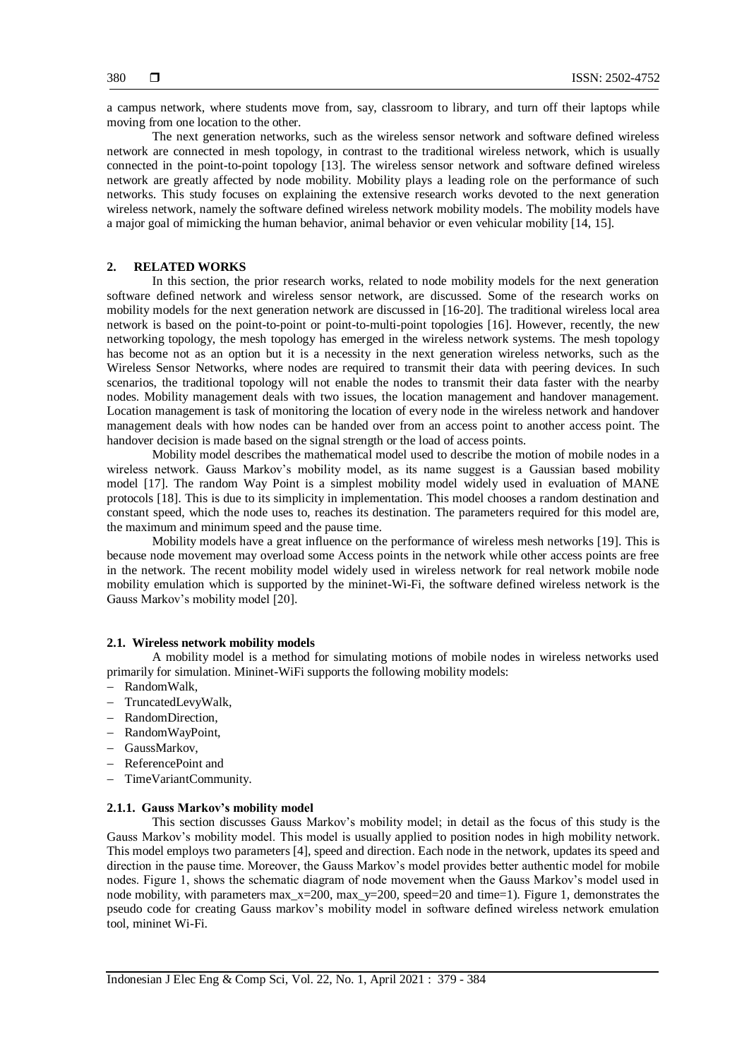a campus network, where students move from, say, classroom to library, and turn off their laptops while moving from one location to the other.

The next generation networks, such as the wireless sensor network and software defined wireless network are connected in mesh topology, in contrast to the traditional wireless network, which is usually connected in the point-to-point topology [13]. The wireless sensor network and software defined wireless network are greatly affected by node mobility. Mobility plays a leading role on the performance of such networks. This study focuses on explaining the extensive research works devoted to the next generation wireless network, namely the software defined wireless network mobility models. The mobility models have a major goal of mimicking the human behavior, animal behavior or even vehicular mobility [14, 15].

# **2. RELATED WORKS**

In this section, the prior research works, related to node mobility models for the next generation software defined network and wireless sensor network, are discussed. Some of the research works on mobility models for the next generation network are discussed in [16-20]. The traditional wireless local area network is based on the point-to-point or point-to-multi-point topologies [16]. However, recently, the new networking topology, the mesh topology has emerged in the wireless network systems. The mesh topology has become not as an option but it is a necessity in the next generation wireless networks, such as the Wireless Sensor Networks, where nodes are required to transmit their data with peering devices. In such scenarios, the traditional topology will not enable the nodes to transmit their data faster with the nearby nodes. Mobility management deals with two issues, the location management and handover management. Location management is task of monitoring the location of every node in the wireless network and handover management deals with how nodes can be handed over from an access point to another access point. The handover decision is made based on the signal strength or the load of access points.

Mobility model describes the mathematical model used to describe the motion of mobile nodes in a wireless network. Gauss Markov's mobility model, as its name suggest is a Gaussian based mobility model [17]. The random Way Point is a simplest mobility model widely used in evaluation of MANE protocols [18]. This is due to its simplicity in implementation. This model chooses a random destination and constant speed, which the node uses to, reaches its destination. The parameters required for this model are, the maximum and minimum speed and the pause time.

Mobility models have a great influence on the performance of wireless mesh networks [19]. This is because node movement may overload some Access points in the network while other access points are free in the network. The recent mobility model widely used in wireless network for real network mobile node mobility emulation which is supported by the mininet-Wi-Fi, the software defined wireless network is the Gauss Markov's mobility model [20].

#### **2.1. Wireless network mobility models**

A mobility model is a method for simulating motions of mobile nodes in wireless networks used primarily for simulation. Mininet-WiFi supports the following mobility models:

- RandomWalk,
- TruncatedLevyWalk,
- RandomDirection,
- RandomWayPoint,
- GaussMarkov,
- ReferencePoint and
- TimeVariantCommunity.

# **2.1.1. Gauss Markov's mobility model**

This section discusses Gauss Markov's mobility model; in detail as the focus of this study is the Gauss Markov's mobility model. This model is usually applied to position nodes in high mobility network. This model employs two parameters [4], speed and direction. Each node in the network, updates its speed and direction in the pause time. Moreover, the Gauss Markov's model provides better authentic model for mobile nodes. Figure 1, shows the schematic diagram of node movement when the Gauss Markov's model used in node mobility, with parameters max\_x=200, max\_y=200, speed=20 and time=1). Figure 1, demonstrates the pseudo code for creating Gauss markov's mobility model in software defined wireless network emulation tool, mininet Wi-Fi.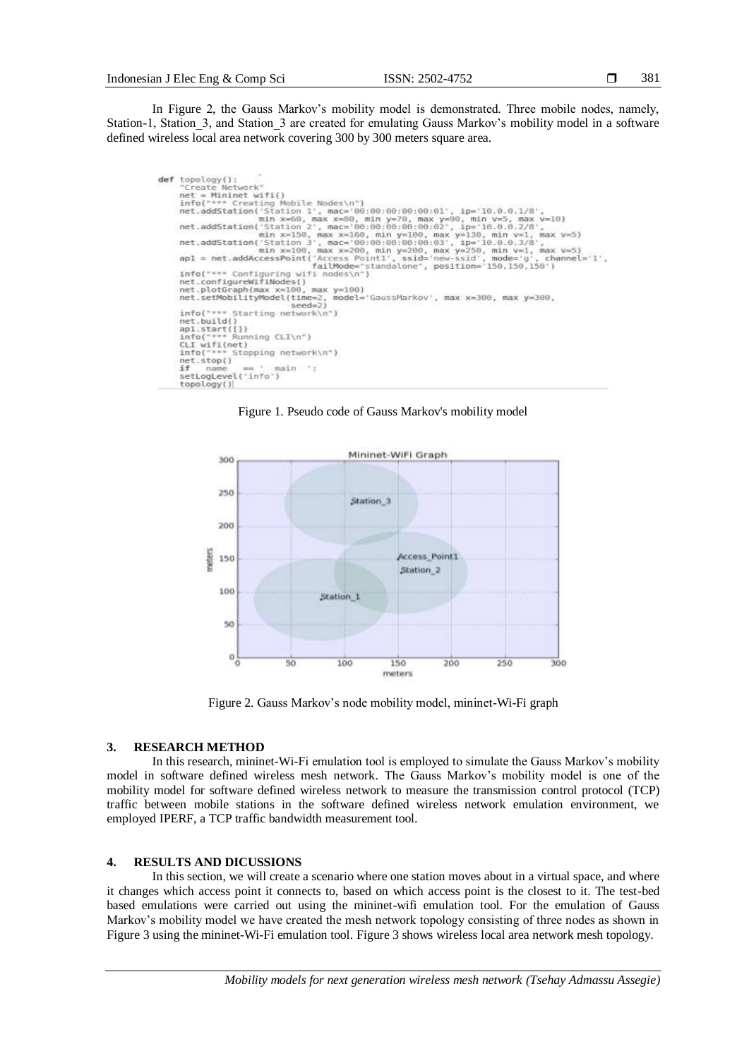In Figure 2, the Gauss Markov's mobility model is demonstrated. Three mobile nodes, namely, Station-1, Station 3, and Station 3 are created for emulating Gauss Markov's mobility model in a software defined wireless local area network covering 300 by 300 meters square area.

```
def topology():<br>"Create Network"
        topology():<br>
"Create Network"<br>
nfor("*** Create Network")<br>
infor("*** Create Network")<br>
nfor("*** Creating Mobile Nodes\n")<br>
net.addStation('Station 1', mac='80:80:80:90:90:90:91', ip='10.0.0.1/8',<br>
min x=50, max x=80, min
                                                                                                                                                                              channel='1',failMode="s<br>net.configureWifiNodes()<br>net.plotGraph(max x=100, max y=100)<br>net.setMobilityModel(time=2, model="<br>net.setMobilityModel(time=2, model="
                                                                              model='GaussMarkov', max x=300, max y=300.
                                 Starting network\n")
         info("
         net.build()
         net.build()<br>apl.start([])<br>info("*** Running CLI\n")<br>CLI wifi(net)<br>info("*** Stopping network\n")
         net.\text{stop}()main ':
         \frac{1}{2}ria
         setLogLevel('info')<br>topology()
```
Figure 1. Pseudo code of Gauss Markov's mobility model



Figure 2. Gauss Markov's node mobility model, mininet-Wi-Fi graph

# **3. RESEARCH METHOD**

In this research, mininet-Wi-Fi emulation tool is employed to simulate the Gauss Markov's mobility model in software defined wireless mesh network. The Gauss Markov's mobility model is one of the mobility model for software defined wireless network to measure the transmission control protocol (TCP) traffic between mobile stations in the software defined wireless network emulation environment, we employed IPERF, a TCP traffic bandwidth measurement tool.

# **4. RESULTS AND DICUSSIONS**

In this section, we will create a scenario where one station moves about in a virtual space, and where it changes which access point it connects to, based on which access point is the closest to it. The test-bed based emulations were carried out using the mininet-wifi emulation tool. For the emulation of Gauss Markov's mobility model we have created the mesh network topology consisting of three nodes as shown in Figure 3 using the mininet-Wi-Fi emulation tool. Figure 3 shows wireless local area network mesh topology.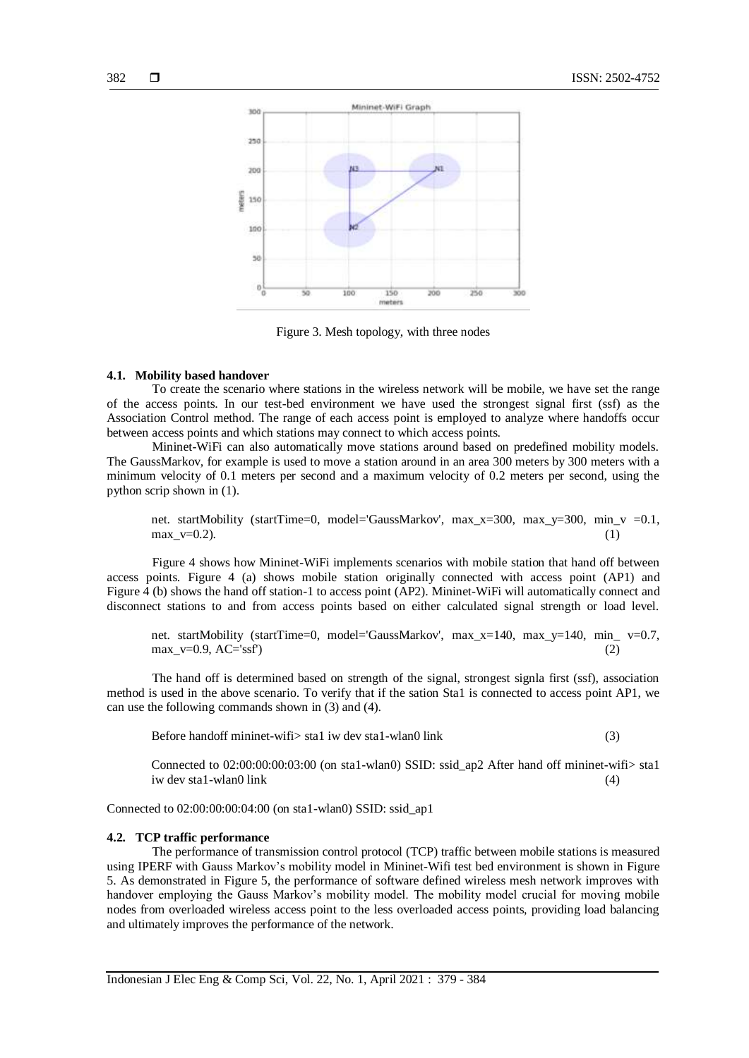

Figure 3. Mesh topology, with three nodes

#### **4.1. Mobility based handover**

To create the scenario where stations in the wireless network will be mobile, we have set the range of the access points. In our test-bed environment we have used the strongest signal first (ssf) as the Association Control method. The range of each access point is employed to analyze where handoffs occur between access points and which stations may connect to which access points.

Mininet-WiFi can also automatically move stations around based on predefined mobility models. The GaussMarkov, for example is used to move a station around in an area 300 meters by 300 meters with a minimum velocity of 0.1 meters per second and a maximum velocity of 0.2 meters per second, using the python scrip shown in (1).

net. startMobility (startTime=0, model='GaussMarkov', max\_x=300, max\_y=300, min\_v =0.1, max  $v=0.2$ ). (1)

Figure 4 shows how Mininet-WiFi implements scenarios with mobile station that hand off between access points. Figure 4 (a) shows mobile station originally connected with access point (AP1) and Figure 4 (b) shows the hand off station-1 to access point (AP2). Mininet-WiFi will automatically connect and disconnect stations to and from access points based on either calculated signal strength or load level.

net. startMobility (startTime=0, model='GaussMarkov', max\_x=140, max\_y=140, min\_ v=0.7,  $\max_{v=0.9}$ , AC='ssf') (2)

The hand off is determined based on strength of the signal, strongest signla first (ssf), association method is used in the above scenario. To verify that if the sation Sta1 is connected to access point AP1, we can use the following commands shown in (3) and (4).

Before handoff mininet-wifi> sta1 iw dev sta1-wlan0 link (3)

Connected to 02:00:00:00:03:00 (on sta1-wlan0) SSID: ssid\_ap2 After hand off mininet-wifi> sta1 iw dev sta1-wlan0 link (4)

Connected to 02:00:00:00:04:00 (on sta1-wlan0) SSID: ssid\_ap1

#### **4.2. TCP traffic performance**

The performance of transmission control protocol (TCP) traffic between mobile stations is measured using IPERF with Gauss Markov's mobility model in Mininet-Wifi test bed environment is shown in Figure 5. As demonstrated in Figure 5, the performance of software defined wireless mesh network improves with handover employing the Gauss Markov's mobility model. The mobility model crucial for moving mobile nodes from overloaded wireless access point to the less overloaded access points, providing load balancing and ultimately improves the performance of the network.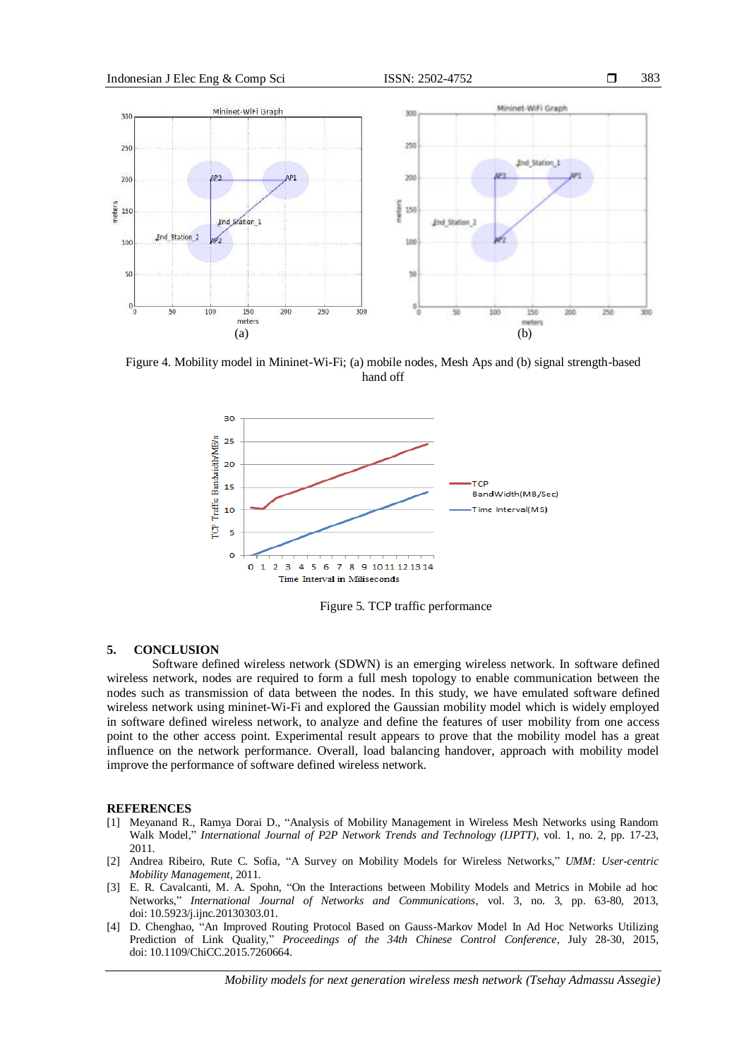

Figure 4. Mobility model in Mininet-Wi-Fi; (a) mobile nodes, Mesh Aps and (b) signal strength-based hand off



Figure 5*.* TCP traffic performance

### **5. CONCLUSION**

Software defined wireless network (SDWN) is an emerging wireless network. In software defined wireless network, nodes are required to form a full mesh topology to enable communication between the nodes such as transmission of data between the nodes. In this study, we have emulated software defined wireless network using mininet-Wi-Fi and explored the Gaussian mobility model which is widely employed in software defined wireless network, to analyze and define the features of user mobility from one access point to the other access point. Experimental result appears to prove that the mobility model has a great influence on the network performance. Overall, load balancing handover, approach with mobility model improve the performance of software defined wireless network.

#### **REFERENCES**

- [1] Meyanand R., Ramya Dorai D., "Analysis of Mobility Management in Wireless Mesh Networks using Random Walk Model," *International Journal of P2P Network Trends and Technology (IJPTT)*, vol. 1, no. 2, pp. 17-23, 2011.
- [2] Andrea Ribeiro, Rute C. Sofia, "A Survey on Mobility Models for Wireless Networks," *UMM: User-centric Mobility Management,* 2011.
- [3] E. R. Cavalcanti, M. A. Spohn, "On the Interactions between Mobility Models and Metrics in Mobile ad hoc Networks," *International Journal of Networks and Communications,* vol. 3, no. 3, pp. 63-80, 2013, doi: 10.5923/j.ijnc.20130303.01.
- [4] D. Chenghao, "An Improved Routing Protocol Based on Gauss-Markov Model In Ad Hoc Networks Utilizing Prediction of Link Quality," *Proceedings of the 34th Chinese Control Conference,* July 28-30, 2015, doi: 10.1109/ChiCC.2015.7260664.